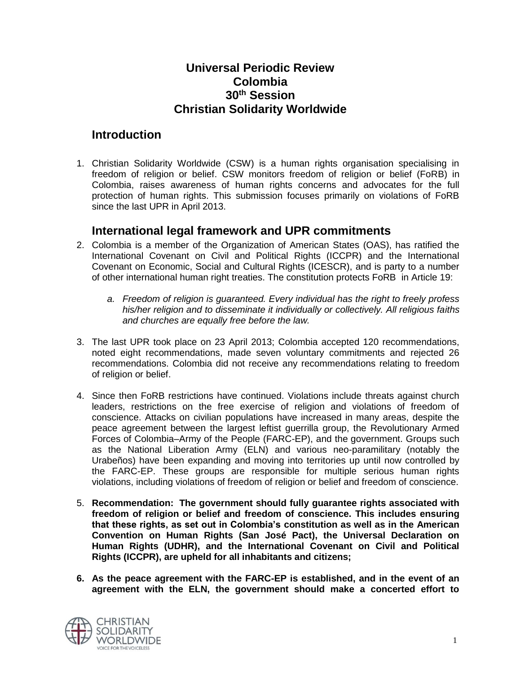## **Universal Periodic Review Colombia 30th Session Christian Solidarity Worldwide**

## **Introduction**

1. Christian Solidarity Worldwide (CSW) is a human rights organisation specialising in freedom of religion or belief. CSW monitors freedom of religion or belief (FoRB) in Colombia, raises awareness of human rights concerns and advocates for the full protection of human rights. This submission focuses primarily on violations of FoRB since the last UPR in April 2013.

#### **International legal framework and UPR commitments**

- 2. Colombia is a member of the Organization of American States (OAS), has ratified the International Covenant on Civil and Political Rights (ICCPR) and the International Covenant on Economic, Social and Cultural Rights (ICESCR), and is party to a number of other international human right treaties. The constitution protects FoRB in Article 19:
	- *a. Freedom of religion is guaranteed. Every individual has the right to freely profess his/her religion and to disseminate it individually or collectively. All religious faiths and churches are equally free before the law.*
- 3. The last UPR took place on 23 April 2013; Colombia accepted 120 recommendations, noted eight recommendations, made seven voluntary commitments and rejected 26 recommendations. Colombia did not receive any recommendations relating to freedom of religion or belief.
- 4. Since then FoRB restrictions have continued. Violations include threats against church leaders, restrictions on the free exercise of religion and violations of freedom of conscience. Attacks on civilian populations have increased in many areas, despite the peace agreement between the largest leftist guerrilla group, the Revolutionary Armed Forces of Colombia–Army of the People (FARC-EP), and the government. Groups such as the National Liberation Army (ELN) and various neo-paramilitary (notably the Urabeños) have been expanding and moving into territories up until now controlled by the FARC-EP. These groups are responsible for multiple serious human rights violations, including violations of freedom of religion or belief and freedom of conscience.
- 5. **Recommendation: The government should fully guarantee rights associated with freedom of religion or belief and freedom of conscience. This includes ensuring that these rights, as set out in Colombia's constitution as well as in the American Convention on Human Rights (San José Pact), the Universal Declaration on Human Rights (UDHR), and the International Covenant on Civil and Political Rights (ICCPR), are upheld for all inhabitants and citizens;**
- **6. As the peace agreement with the FARC-EP is established, and in the event of an agreement with the ELN, the government should make a concerted effort to**

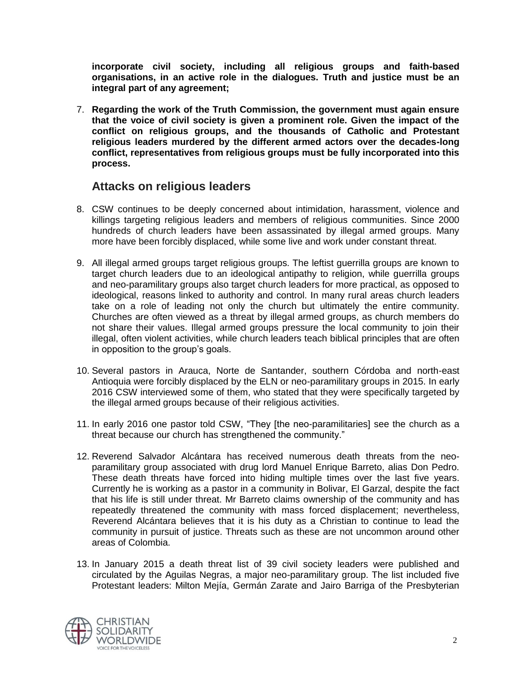**incorporate civil society, including all religious groups and faith-based organisations, in an active role in the dialogues. Truth and justice must be an integral part of any agreement;**

7. **Regarding the work of the Truth Commission, the government must again ensure that the voice of civil society is given a prominent role. Given the impact of the conflict on religious groups, and the thousands of Catholic and Protestant religious leaders murdered by the different armed actors over the decades-long conflict, representatives from religious groups must be fully incorporated into this process.** 

#### **Attacks on religious leaders**

- 8. CSW continues to be deeply concerned about intimidation, harassment, violence and killings targeting religious leaders and members of religious communities. Since 2000 hundreds of church leaders have been assassinated by illegal armed groups. Many more have been forcibly displaced, while some live and work under constant threat.
- 9. All illegal armed groups target religious groups. The leftist guerrilla groups are known to target church leaders due to an ideological antipathy to religion, while guerrilla groups and neo-paramilitary groups also target church leaders for more practical, as opposed to ideological, reasons linked to authority and control. In many rural areas church leaders take on a role of leading not only the church but ultimately the entire community. Churches are often viewed as a threat by illegal armed groups, as church members do not share their values. Illegal armed groups pressure the local community to join their illegal, often violent activities, while church leaders teach biblical principles that are often in opposition to the group's goals.
- 10. Several pastors in Arauca, Norte de Santander, southern Córdoba and north-east Antioquia were forcibly displaced by the ELN or neo-paramilitary groups in 2015. In early 2016 CSW interviewed some of them, who stated that they were specifically targeted by the illegal armed groups because of their religious activities.
- 11. In early 2016 one pastor told CSW, "They [the neo-paramilitaries] see the church as a threat because our church has strengthened the community."
- 12. Reverend Salvador Alcántara has received numerous death threats from the neoparamilitary group associated with drug lord Manuel Enrique Barreto, alias Don Pedro. These death threats have forced into hiding multiple times over the last five years. Currently he is working as a pastor in a community in Bolivar, El Garzal, despite the fact that his life is still under threat. Mr Barreto claims ownership of the community and has repeatedly threatened the community with mass forced displacement; nevertheless, Reverend Alcántara believes that it is his duty as a Christian to continue to lead the community in pursuit of justice. Threats such as these are not uncommon around other areas of Colombia.
- 13. In January 2015 a death threat list of 39 civil society leaders were published and circulated by the Aguilas Negras, a major neo-paramilitary group. The list included five Protestant leaders: Milton Mejía, Germán Zarate and Jairo Barriga of the Presbyterian

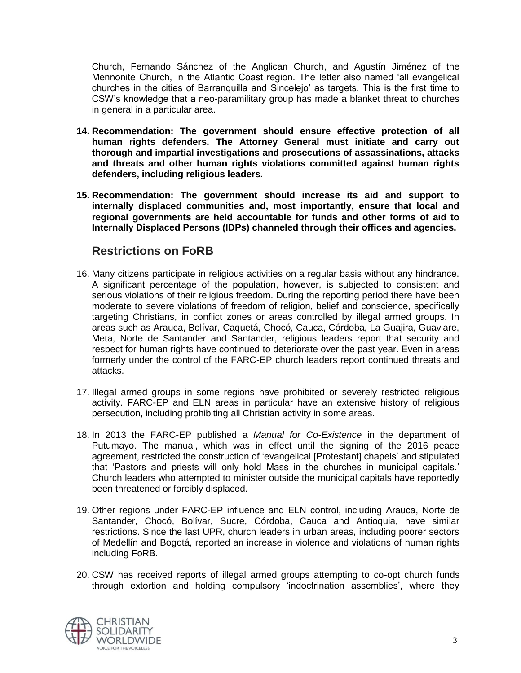Church, Fernando Sánchez of the Anglican Church, and Agustín Jiménez of the Mennonite Church, in the Atlantic Coast region. The letter also named 'all evangelical churches in the cities of Barranquilla and Sincelejo' as targets. This is the first time to CSW's knowledge that a neo-paramilitary group has made a blanket threat to churches in general in a particular area.

- **14. Recommendation: The government should ensure effective protection of all human rights defenders. The Attorney General must initiate and carry out thorough and impartial investigations and prosecutions of assassinations, attacks and threats and other human rights violations committed against human rights defenders, including religious leaders.**
- **15. Recommendation: The government should increase its aid and support to internally displaced communities and, most importantly, ensure that local and regional governments are held accountable for funds and other forms of aid to Internally Displaced Persons (IDPs) channeled through their offices and agencies.**

# **Restrictions on FoRB**

- 16. Many citizens participate in religious activities on a regular basis without any hindrance. A significant percentage of the population, however, is subjected to consistent and serious violations of their religious freedom. During the reporting period there have been moderate to severe violations of freedom of religion, belief and conscience, specifically targeting Christians, in conflict zones or areas controlled by illegal armed groups. In areas such as Arauca, Bolívar, Caquetá, Chocó, Cauca, Córdoba, La Guajira, Guaviare, Meta, Norte de Santander and Santander, religious leaders report that security and respect for human rights have continued to deteriorate over the past year. Even in areas formerly under the control of the FARC-EP church leaders report continued threats and attacks.
- 17. Illegal armed groups in some regions have prohibited or severely restricted religious activity. FARC-EP and ELN areas in particular have an extensive history of religious persecution, including prohibiting all Christian activity in some areas.
- 18. In 2013 the FARC-EP published a *Manual for Co-Existence* in the department of Putumayo. The manual, which was in effect until the signing of the 2016 peace agreement, restricted the construction of 'evangelical [Protestant] chapels' and stipulated that 'Pastors and priests will only hold Mass in the churches in municipal capitals.' Church leaders who attempted to minister outside the municipal capitals have reportedly been threatened or forcibly displaced.
- 19. Other regions under FARC-EP influence and ELN control, including Arauca, Norte de Santander, Chocó, Bolívar, Sucre, Córdoba, Cauca and Antioquia, have similar restrictions. Since the last UPR, church leaders in urban areas, including poorer sectors of Medellín and Bogotá, reported an increase in violence and violations of human rights including FoRB.
- 20. CSW has received reports of illegal armed groups attempting to co-opt church funds through extortion and holding compulsory 'indoctrination assemblies', where they

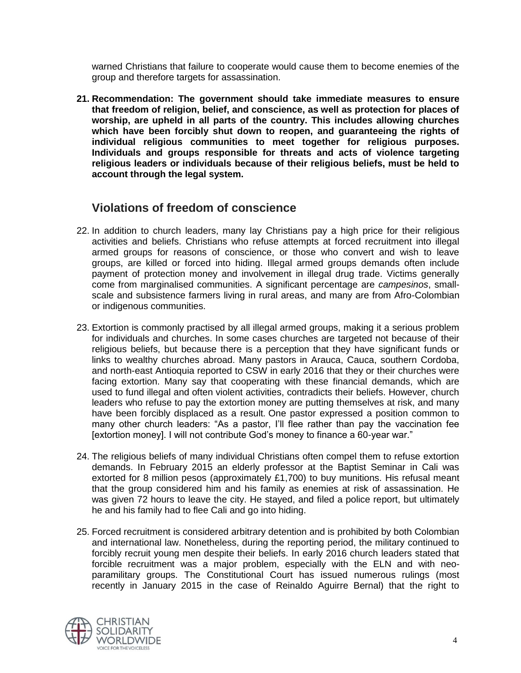warned Christians that failure to cooperate would cause them to become enemies of the group and therefore targets for assassination.

**21. Recommendation: The government should take immediate measures to ensure that freedom of religion, belief, and conscience, as well as protection for places of worship, are upheld in all parts of the country. This includes allowing churches which have been forcibly shut down to reopen, and guaranteeing the rights of individual religious communities to meet together for religious purposes. Individuals and groups responsible for threats and acts of violence targeting religious leaders or individuals because of their religious beliefs, must be held to account through the legal system.** 

# **Violations of freedom of conscience**

- 22. In addition to church leaders, many lay Christians pay a high price for their religious activities and beliefs. Christians who refuse attempts at forced recruitment into illegal armed groups for reasons of conscience, or those who convert and wish to leave groups, are killed or forced into hiding. Illegal armed groups demands often include payment of protection money and involvement in illegal drug trade. Victims generally come from marginalised communities. A significant percentage are *campesinos*, smallscale and subsistence farmers living in rural areas, and many are from Afro-Colombian or indigenous communities.
- 23. Extortion is commonly practised by all illegal armed groups, making it a serious problem for individuals and churches. In some cases churches are targeted not because of their religious beliefs, but because there is a perception that they have significant funds or links to wealthy churches abroad. Many pastors in Arauca, Cauca, southern Cordoba, and north-east Antioquia reported to CSW in early 2016 that they or their churches were facing extortion. Many say that cooperating with these financial demands, which are used to fund illegal and often violent activities, contradicts their beliefs. However, church leaders who refuse to pay the extortion money are putting themselves at risk, and many have been forcibly displaced as a result. One pastor expressed a position common to many other church leaders: "As a pastor, I'll flee rather than pay the vaccination fee [extortion money]. I will not contribute God's money to finance a 60-year war."
- 24. The religious beliefs of many individual Christians often compel them to refuse extortion demands. In February 2015 an elderly professor at the Baptist Seminar in Cali was extorted for 8 million pesos (approximately £1,700) to buy munitions. His refusal meant that the group considered him and his family as enemies at risk of assassination. He was given 72 hours to leave the city. He stayed, and filed a police report, but ultimately he and his family had to flee Cali and go into hiding.
- 25. Forced recruitment is considered arbitrary detention and is prohibited by both Colombian and international law. Nonetheless, during the reporting period, the military continued to forcibly recruit young men despite their beliefs. In early 2016 church leaders stated that forcible recruitment was a major problem, especially with the ELN and with neoparamilitary groups. The Constitutional Court has issued numerous rulings (most recently in January 2015 in the case of Reinaldo Aguirre Bernal) that the right to

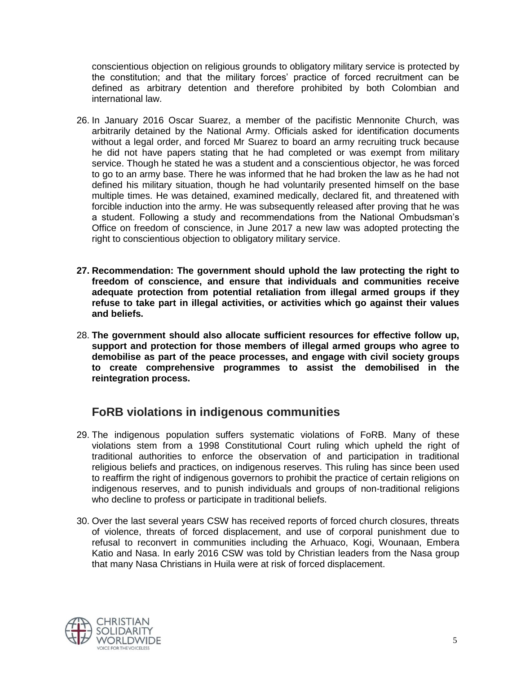conscientious objection on religious grounds to obligatory military service is protected by the constitution; and that the military forces' practice of forced recruitment can be defined as arbitrary detention and therefore prohibited by both Colombian and international law.

- 26. In January 2016 Oscar Suarez, a member of the pacifistic Mennonite Church, was arbitrarily detained by the National Army. Officials asked for identification documents without a legal order, and forced Mr Suarez to board an army recruiting truck because he did not have papers stating that he had completed or was exempt from military service. Though he stated he was a student and a conscientious objector, he was forced to go to an army base. There he was informed that he had broken the law as he had not defined his military situation, though he had voluntarily presented himself on the base multiple times. He was detained, examined medically, declared fit, and threatened with forcible induction into the army. He was subsequently released after proving that he was a student. Following a study and recommendations from the National Ombudsman's Office on freedom of conscience, in June 2017 a new law was adopted protecting the right to conscientious objection to obligatory military service.
- **27. Recommendation: The government should uphold the law protecting the right to freedom of conscience, and ensure that individuals and communities receive adequate protection from potential retaliation from illegal armed groups if they refuse to take part in illegal activities, or activities which go against their values and beliefs.**
- 28. **The government should also allocate sufficient resources for effective follow up, support and protection for those members of illegal armed groups who agree to demobilise as part of the peace processes, and engage with civil society groups to create comprehensive programmes to assist the demobilised in the reintegration process.**

# **FoRB violations in indigenous communities**

- 29. The indigenous population suffers systematic violations of FoRB. Many of these violations stem from a 1998 Constitutional Court ruling which upheld the right of traditional authorities to enforce the observation of and participation in traditional religious beliefs and practices, on indigenous reserves. This ruling has since been used to reaffirm the right of indigenous governors to prohibit the practice of certain religions on indigenous reserves, and to punish individuals and groups of non-traditional religions who decline to profess or participate in traditional beliefs.
- 30. Over the last several years CSW has received reports of forced church closures, threats of violence, threats of forced displacement, and use of corporal punishment due to refusal to reconvert in communities including the Arhuaco, Kogi, Wounaan, Embera Katio and Nasa. In early 2016 CSW was told by Christian leaders from the Nasa group that many Nasa Christians in Huila were at risk of forced displacement.